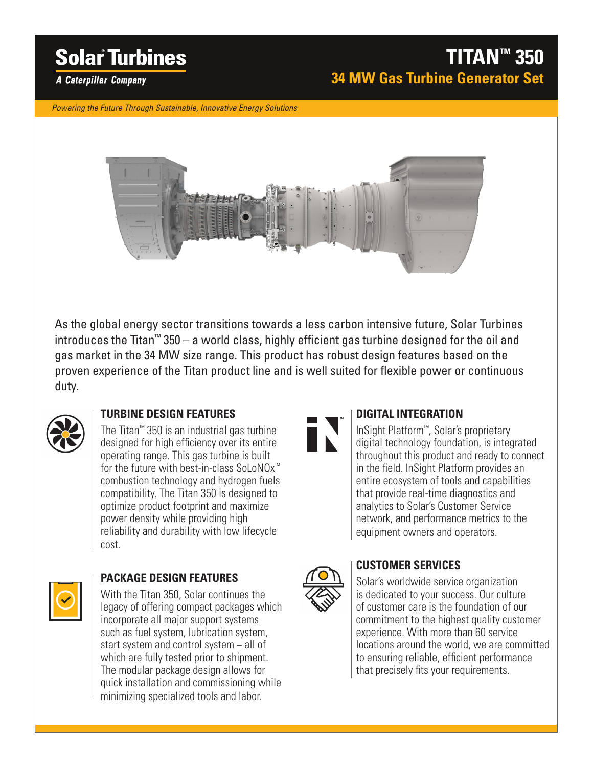# **Solar Turbines**

## **TITAN™ 350 34 MW Gas Turbine Generator Set**

**A Caterpillar Company** 

*Powering the Future Through Sustainable, Innovative Energy Solutions*



As the global energy sector transitions towards a less carbon intensive future, Solar Turbines introduces the Titan™ 350 – a world class, highly efficient gas turbine designed for the oil and gas market in the 34 MW size range. This product has robust design features based on the proven experience of the Titan product line and is well suited for flexible power or continuous duty.



#### **TURBINE DESIGN FEATURES**

The Titan™ 350 is an industrial gas turbine designed for high efficiency over its entire operating range. This gas turbine is built for the future with best-in-class SoLoNOx™ combustion technology and hydrogen fuels compatibility. The Titan 350 is designed to optimize product footprint and maximize power density while providing high reliability and durability with low lifecycle cost.



#### **PACKAGE DESIGN FEATURES**

With the Titan 350, Solar continues the legacy of offering compact packages which incorporate all major support systems such as fuel system, lubrication system, start system and control system − all of which are fully tested prior to shipment. The modular package design allows for quick installation and commissioning while minimizing specialized tools and labor.



#### **DIGITAL INTEGRATION**

InSight Platform™, Solar's proprietary digital technology foundation, is integrated throughout this product and ready to connect in the field. InSight Platform provides an entire ecosystem of tools and capabilities that provide real-time diagnostics and analytics to Solar's Customer Service network, and performance metrics to the equipment owners and operators.



#### **CUSTOMER SERVICES**

Solar's worldwide service organization is dedicated to your success. Our culture of customer care is the foundation of our commitment to the highest quality customer experience. With more than 60 service locations around the world, we are committed to ensuring reliable, efficient performance that precisely fits your requirements.